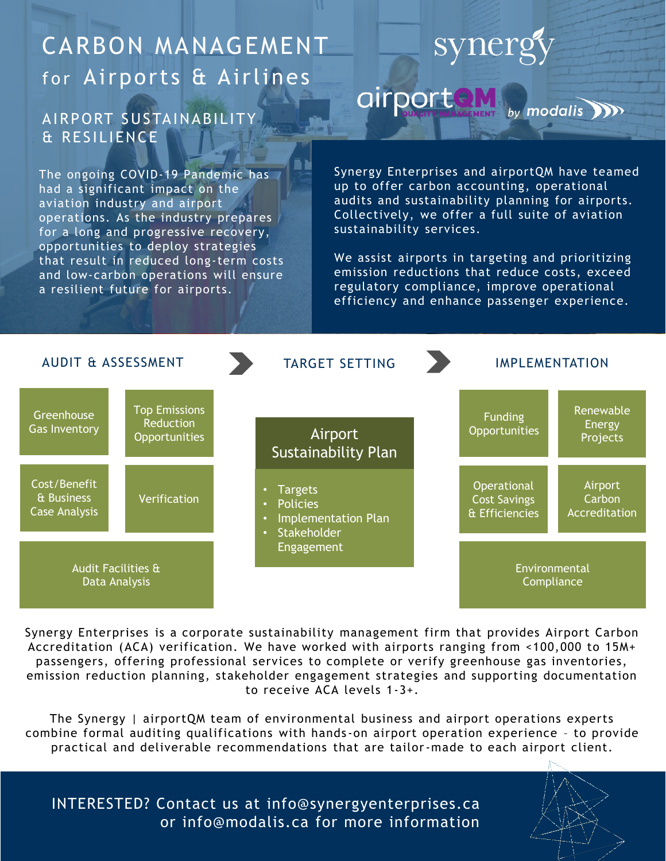## CARBON MANAGEMENT for Airports & Airlines

#### AIRPORT SUSTAINABILITY & RESILIENCE

The ongoing COVID-19 Pandemic has had a significant impact on the aviation industry and airport operations. As the industry prepares for a long and progressive recovery, opportunities to deploy strategies that result in reduced long-term costs and low-carbon operations will ensure a resilient future for airports.

# synergy

airportaM modalis **NO** 

Synergy Enterprises and airportQM have teamed up to offer carbon accounting, operational audits and sustainability planning for airports. Collectively, we offer a full suite of aviation sustainability services.

We assist airports in targeting and prioritizing emission reductions that reduce costs, exceed regulatory compliance, improve operational efficiency and enhance passenger experience.



Synergy Enterprises is a corporate sustainability management firm that provides Airport Carbon Accreditation (ACA) verification. We have worked with airports ranging from <100,000 to 15M+ passengers, offering professional services to complete or verify greenhouse gas inventories, emission reduction planning, stakeholder engagement strategies and supporting documentation to receive ACA levels 1-3+.

The Synergy | airportQM team of environmental business and airport operations experts combine formal auditing qualifications with hands -on airport operation experience – to provide practical and deliverable recommendations that are tailor-made to each airport client.

INTERESTED? Contact us at info@synergyenterprises.ca or info@modalis.ca for more information